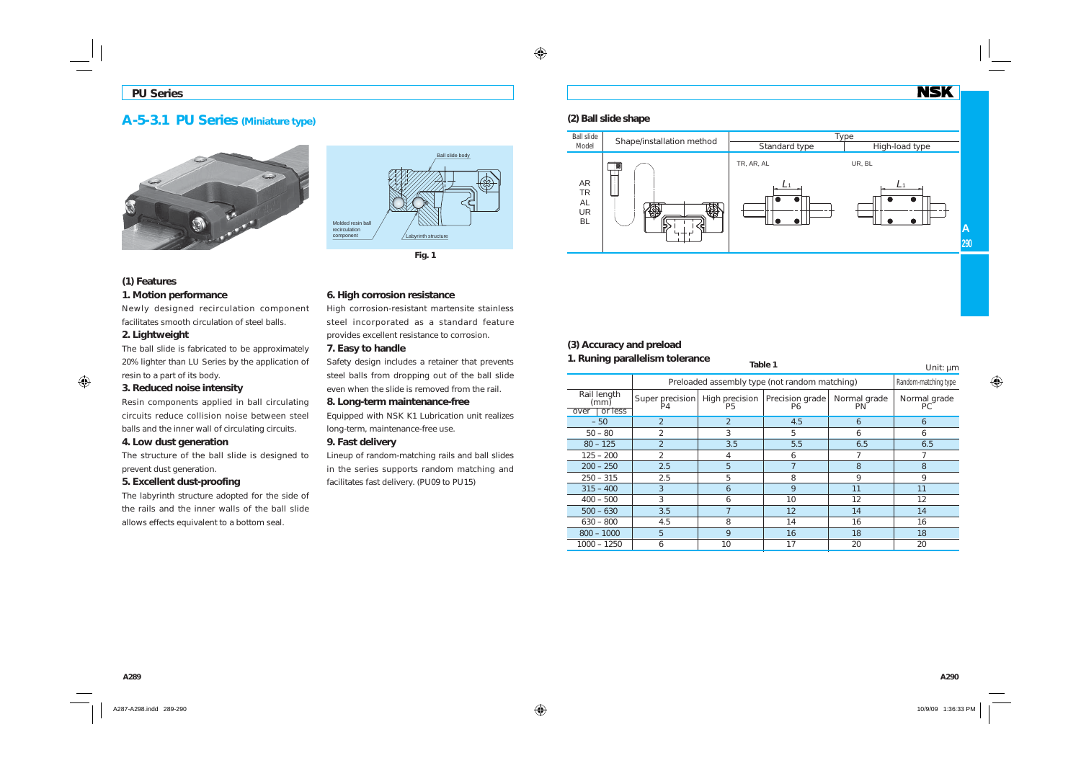# **A-5-3.1 PU Series (Miniature type)**





## **(1) Features 1. Motion performance**

Newly designed recirculation component facilitates smooth circulation of steel balls.

## **2. Lightweight**

The ball slide is fabricated to be approximately 20% lighter than LU Series by the application of resin to a part of its body.

### **3. Reduced noise intensity**

Resin components applied in ball circulating circuits reduce collision noise between steel balls and the inner wall of circulating circuits.

### **4. Low dust generation**

The structure of the ball slide is designed to prevent dust generation.

## **5. Excellent dust-proofing**

The labyrinth structure adopted for the side of the rails and the inner walls of the ball slide allows effects equivalent to a bottom seal.

## **6. High corrosion resistance**

High corrosion-resistant martensite stainless steel incorporated as a standard feature provides excellent resistance to corrosion.

### **7. Easy to handle**

Safety design includes a retainer that prevents steel balls from dropping out of the ball slide even when the slide is removed from the rail.

### **8. Long-term maintenance-free**

Equipped with NSK K1 Lubrication unit realizes long-term, maintenance-free use.

### **9. Fast delivery**

Lineup of random-matching rails and ball slides in the series supports random matching and facilitates fast delivery. (PU09 to PU15)

## **(2) Ball slide shape**



## **(3) Accuracy and preload**

#### **1. Runing parallelism tolerance Table 1** Unit: µm Preloaded assembly type (not random matching) Random-matching type – 50 | 2 | 2 | 4.5 | 6 | 6  $6$  $50 - 80$  2 3 5 6 6 6  $80 - 125$  2  $3.5$  5.5 6.5 6.5  $125 - 200$  2 4 6 7 7 200 – 250 **2.5** 5 7 8 8  $250 - 315$  2.5 5 8 9 9  $315 - 400$  3 6 9 11 1 400 – 500 | 3 | 6 | 10 | 12  $12$ 500 – 630 **3.5** 7 12 14 14 14 630 – 800 4.5 8 14 16 16 800 – 1000 5 9 16 18 181000 – 1250 6 10 17 20 20 Rail length (mm) over or less Super precision P4High precision | Precision grade<br>P5 P6 Normal grade PN Normal grade PC

**NSK**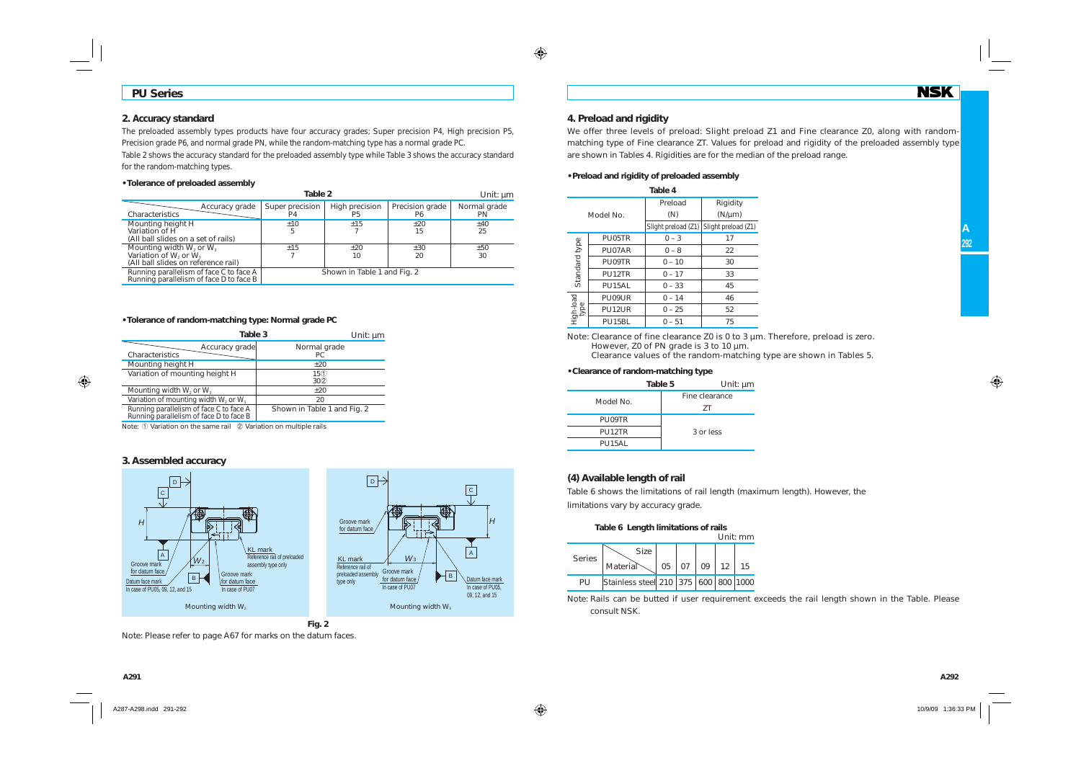## **PU Series**

### **2. Accuracy standard**

The preloaded assembly types products have four accuracy grades; Super precision P4, High precision P5, Precision grade P6, and normal grade PN, while the random-matching type has a normal grade PC.

Table 2 shows the accuracy standard for the preloaded assembly type while Table 3 shows the accuracy standard for the random-matching types.

#### **• Tolerance of preloaded assembly**

| Table 2<br>Unit: um                                                                                          |                                   |                      |                       |                           |  |
|--------------------------------------------------------------------------------------------------------------|-----------------------------------|----------------------|-----------------------|---------------------------|--|
| Accuracy grade<br>Characteristics                                                                            | Super precision<br>P <sub>4</sub> | High precision<br>P5 | Precision grade<br>P6 | Normal grade<br><b>PN</b> |  |
| Mounting height H<br>Variation of H<br>(All ball slides on a set of rails)                                   | ±10<br>5                          | $+15$                | ±20<br>15             | ±40<br>25                 |  |
| Mounting width $W_2$ or $W_3$<br>Variation of W <sub>2</sub> or $W_3$<br>(All ball slides on reference rail) | ±15                               | $+20$<br>10          | ±30<br>20             | ±50<br>30                 |  |
| Running parallelism of face C to face A<br>Running parallelism of face D to face B                           | Shown in Table 1 and Fig. 2       |                      |                       |                           |  |

#### **• Tolerance of random-matching type: Normal grade PC**

| Table 3                                                                            | Unit: µm                           |
|------------------------------------------------------------------------------------|------------------------------------|
| Accuracy grade<br>Characteristics                                                  | Normal grade<br>PC.                |
| Mounting height H                                                                  | ±20                                |
| Variation of mounting height H                                                     | 15 <sup>0</sup><br>30 <sup>2</sup> |
| Mounting width $W_2$ or $W_3$                                                      | $+20$                              |
| Variation of mounting width $W_2$ or $W_3$                                         | 20                                 |
| Running parallelism of face C to face A<br>Running parallelism of face D to face B | Shown in Table 1 and Fig. 2        |

Note: ① Variation on the same rail ② Variation on multiple rails

#### **3. Assembled accuracy**



**Fig. 2**

Note: Please refer to page A67 for marks on the datum faces.

### **4. Preload and rigidity**

We offer three levels of preload: Slight preload Z1 and Fine clearance Z0, along with randommatching type of Fine clearance ZT. Values for preload and rigidity of the preloaded assembly type are shown in Tables 4. Rigidities are for the median of the preload range.

#### **• Preload and rigidity of preloaded assembly**

| Table 4           |        |                     |                     |  |
|-------------------|--------|---------------------|---------------------|--|
|                   |        | Preload             | Rigidity            |  |
| Model No.         |        | (N)                 | $(N/\mu m)$         |  |
|                   |        | Slight preload (Z1) | Slight preload (Z1) |  |
|                   | PU05TR | $0 - 3$             | 17                  |  |
|                   | PU07AR | $0 - 8$             | 22                  |  |
|                   | PU09TR | $0 - 10$            | 30                  |  |
| Standard type     | PU12TR | $0 - 17$            | 33                  |  |
|                   | PU15AL | $0 - 33$            | 45                  |  |
|                   | PU09UR | $0 - 14$            | 46                  |  |
| High-load<br>type | PU12UR | $0 - 25$            | 52                  |  |
|                   | PU15BL | $0 - 51$            | 75                  |  |

Note: Clearance of fine clearance Z0 is 0 to 3 µm. Therefore, preload is zero. However, Z0 of PN grade is 3 to 10  $\mu$ m.

Clearance values of the random-matching type are shown in Tables 5.

#### **• Clearance of random-matching type**

|          | Unit: $µm$<br>Table 5 |
|----------|-----------------------|
| Model No | Fine clearance        |
|          | 7T                    |
| PU09TR   |                       |
| PU12TR   | 3 or less             |
| PU15AL   |                       |

## **(4) Available length of rail**

Table 6 shows the limitations of rail length (maximum length). However, the limitations vary by accuracy grade.

| Table 6 Length limitations of rails<br>Unit:mm |                                      |    |                 |    |                 |    |
|------------------------------------------------|--------------------------------------|----|-----------------|----|-----------------|----|
|                                                | <b>Size</b>                          |    |                 |    |                 |    |
| <b>Series</b>                                  | Material                             | 05 | 07 <sup>1</sup> | 09 | 12 <sup>1</sup> | 15 |
| PU                                             | Stainless steel 210 375 600 800 1000 |    |                 |    |                 |    |

Note: Rails can be butted if user requirement exceeds the rail length shown in the Table. Please consult NSK.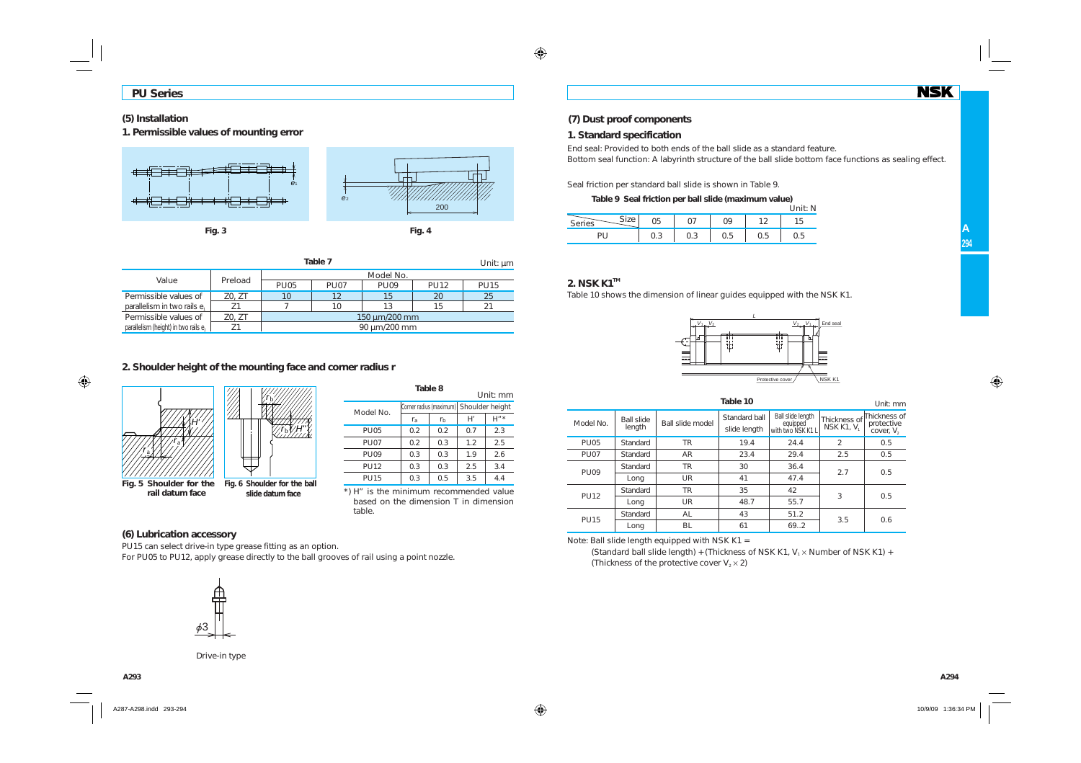## **(5) Installation**

**1. Permissible values of mounting error**



| Table 7<br>Unit: $\mu$ m                         |         |               |             |             |             |             |
|--------------------------------------------------|---------|---------------|-------------|-------------|-------------|-------------|
|                                                  |         |               |             | Model No.   |             |             |
| Value                                            | Preload | <b>PU05</b>   | <b>PU07</b> | <b>PU09</b> | <b>PU12</b> | <b>PU15</b> |
| Permissible values of                            | Z0, ZT  | 10            | 12          | 15          | 20          | 25          |
| parallelism in two rails e.                      |         |               | 10          | 13          | 15          | 21          |
| Permissible values of                            | Z0, ZT  | 150 um/200 mm |             |             |             |             |
| parallelism (height) in two rails e <sub>2</sub> |         | 90 µm/200 mm  |             |             |             |             |

## **2. Shoulder height of the mounting face and corner radius r**



| Table 8<br>Unit: mm |             |                |                                         |         |  |
|---------------------|-------------|----------------|-----------------------------------------|---------|--|
| Model No.           |             |                | Corner radius (maximum) Shoulder height |         |  |
|                     | $r_{\rm a}$ | r <sub>b</sub> | H'                                      | $H''$ * |  |
| <b>PU05</b>         | 0.2         | 0.2            | 0.7                                     | 2.3     |  |
| <b>PU07</b>         | 0.2         | 0.3            | 1.2                                     | 2.5     |  |
| <b>PU09</b>         | 0.3         | 0.3            | 1.9                                     | 2.6     |  |
| <b>PU12</b>         | 0.3         | 0.3            | 2.5                                     | 3.4     |  |
| <b>PU15</b>         | 0.3         | 0.5            | 3.5                                     | 4.4     |  |

\*) H" is the minimum recommended value based on the dimension T in dimension table.

## **(6) Lubrication accessory**

PU15 can select drive-in type grease fitting as an option. For PU05 to PU12, apply grease directly to the ball grooves of rail using a point nozzle.

# **(7) Dust proof components**

## **1. Standard specification**

End seal: Provided to both ends of the ball slide as a standard feature. Bottom seal function: A labyrinth structure of the ball slide bottom face functions as sealing effect.

Seal friction per standard ball slide is shown in Table 9.

**Table 9 Seal friction per ball slide (maximum value)**  $\sum_{i=1}^{n}$ 

|                           |     |                 |     |      | UIIIL.IV |
|---------------------------|-----|-----------------|-----|------|----------|
| $C:=$<br>Corice<br>Series | U5  |                 |     | ຳ    |          |
|                           | v.J | $\cup$ . $\cup$ | c.u | U. 5 | ∪.∪      |

## **2. NSK K1™**

Table 10 shows the dimension of linear guides equipped with the NSK K1.



|             |                      |                  | Table 10                      |                                                    |               | Unit: mm                                                |
|-------------|----------------------|------------------|-------------------------------|----------------------------------------------------|---------------|---------------------------------------------------------|
| Model No.   | Ball slide<br>length | Ball slide model | Standard ball<br>slide length | Ball slide length<br>equipped<br>with two NSK K1 L | NSK K1, V     | Thickness of Thickness of<br>protective<br>cover, $V_2$ |
| <b>PU05</b> | Standard             | <b>TR</b>        | 19.4                          | 24.4                                               | $\mathcal{P}$ | 0.5                                                     |
| <b>PU07</b> | Standard             | AR               | 23.4                          | 29.4                                               | 2.5           | 0.5                                                     |
| <b>PU09</b> | Standard             | <b>TR</b>        | 30                            | 36.4                                               | 2.7           | 0.5                                                     |
|             | Long                 | UR               | 41                            | 47.4                                               |               |                                                         |
| <b>PU12</b> | Standard             | <b>TR</b>        | 35                            | 42                                                 | 3             | 0.5                                                     |
|             | Long                 | UR               | 48.7                          | 55.7                                               |               |                                                         |
| <b>PU15</b> | Standard             | AL               | 43                            | 51.2                                               |               |                                                         |
|             | Long                 | BL               | 61                            | 69.2                                               | 3.5           | 0.6                                                     |

**Table 10**

Note: Ball slide length equipped with NSK K1 =

(Standard ball slide length) + (Thickness of NSK K1,  $V_1 \times$  Number of NSK K1) + (Thickness of the protective cover  $V_2 \times 2$ )



Drive-in type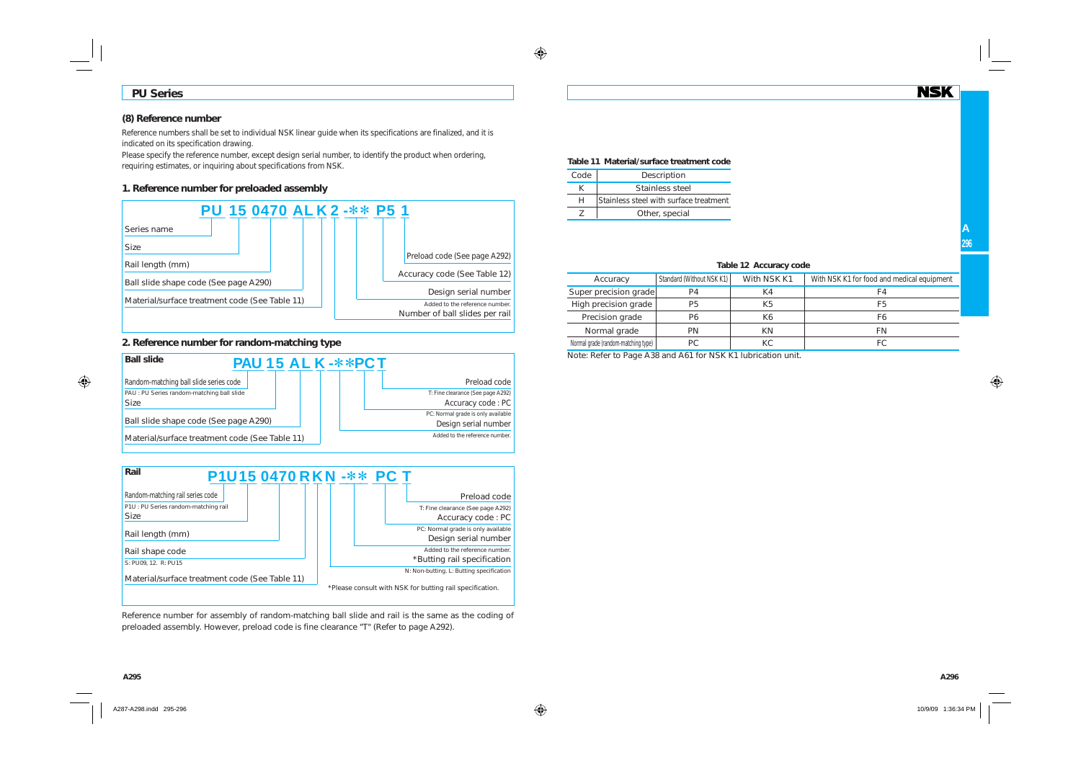## **PU Series**

## **(8) Reference number**

Reference numbers shall be set to individual NSK linear guide when its specifications are finalized, and it is indicated on its specification drawing.

Please specify the reference number, except design serial number, to identify the product when ordering. requiring estimates, or inquiring about specifications from NSK.

## **1. Reference number for preloaded assembly**



## **2. Reference number for random-matching type**





Reference number for assembly of random-matching ball slide and rail is the same as the coding of preloaded assembly. However, preload code is fine clearance "T" (Refer to page A292).

#### **Table 11 Material/surface treatment code**

| Code | Description                            |
|------|----------------------------------------|
|      | Stainless steel                        |
| н    | Stainless steel with surface treatment |
|      | Other, special                         |

|  | Table 12 Accuracy code |  |
|--|------------------------|--|
|--|------------------------|--|

| Accuracy                            | Standard (Without NSK K1) | With NSK K1 | With NSK K1 for food and medical equipment |
|-------------------------------------|---------------------------|-------------|--------------------------------------------|
| Super precision grade               | P <sub>4</sub>            | K4          |                                            |
| High precision grade                | P <sub>5</sub>            | K5          | F5                                         |
| Precision grade                     | P6                        | Κ6          | F6                                         |
| Normal grade                        | PN                        | ΚN          | FN                                         |
| Normal grade (random-matching type) | РC                        | КC          | FC.                                        |

Note: Refer to Page A38 and A61 for NSK K1 lubrication unit.